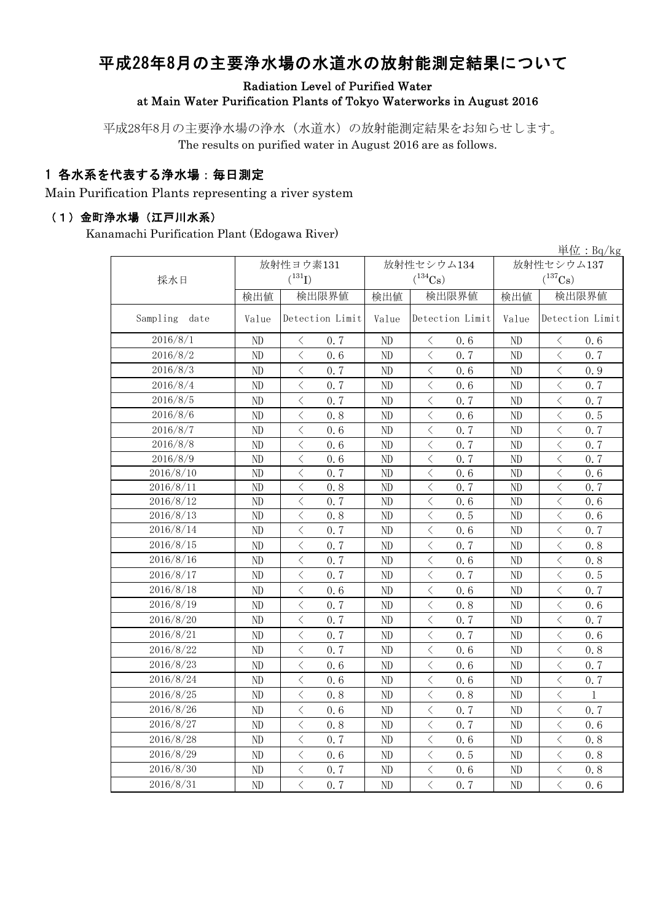# 平成28年8月の主要浄水場の水道水の放射能測定結果について

### Radiation Level of Purified Water at Main Water Purification Plants of Tokyo Waterworks in August 2016

平成28年8月の主要浄水場の浄水(水道水)の放射能測定結果をお知らせします。 The results on purified water in August 2016 are as follows.

### 1 各水系を代表する浄水場:毎日測定

Main Purification Plants representing a river system

#### (1)金町浄水場(江戸川水系)

Kanamachi Purification Plant (Edogawa River)

|                  |       |                                                                                                                                                                                                                                                                                                                                                                                                                                                                   |                 |                |                                                                                       |                 |            |                                          | 単位: Bq/kg       |  |
|------------------|-------|-------------------------------------------------------------------------------------------------------------------------------------------------------------------------------------------------------------------------------------------------------------------------------------------------------------------------------------------------------------------------------------------------------------------------------------------------------------------|-----------------|----------------|---------------------------------------------------------------------------------------|-----------------|------------|------------------------------------------|-----------------|--|
|                  |       | 放射性ヨウ素131                                                                                                                                                                                                                                                                                                                                                                                                                                                         |                 |                | 放射性セシウム134                                                                            |                 | 放射性セシウム137 |                                          |                 |  |
| 採水日              |       | $(^{131}I)$                                                                                                                                                                                                                                                                                                                                                                                                                                                       |                 |                | $(^{134}\mathrm{Cs})$                                                                 |                 |            | $(^{137}\mathrm{Cs})$                    |                 |  |
|                  | 検出値   |                                                                                                                                                                                                                                                                                                                                                                                                                                                                   | 検出限界値           | 検出値            | 検出限界値                                                                                 |                 | 検出値        | 検出限界値                                    |                 |  |
| Sampling<br>date | Value |                                                                                                                                                                                                                                                                                                                                                                                                                                                                   | Detection Limit | Value          |                                                                                       | Detection Limit | Value      |                                          | Detection Limit |  |
| 2016/8/1         | ND    | $\langle$                                                                                                                                                                                                                                                                                                                                                                                                                                                         | 0, 7            | ND             | $\langle$                                                                             | 0,6             | ND         | $\langle$                                | 0, 6            |  |
| 2016/8/2         | ND    | $\langle$                                                                                                                                                                                                                                                                                                                                                                                                                                                         | 0.6             | ND             | $\langle$                                                                             | 0, 7            | ND         | $\langle$                                | 0.7             |  |
| 2016/8/3         | ND    | $\lt$                                                                                                                                                                                                                                                                                                                                                                                                                                                             | 0.7             | ND             | $\langle$                                                                             | 0.6             | ND         | $\langle$                                | 0.9             |  |
| 2016/8/4         | ND    | $\lt$                                                                                                                                                                                                                                                                                                                                                                                                                                                             | 0.7             | ND             | $\lt$                                                                                 | 0.6             | $\rm ND$   | $\langle$                                | 0.7             |  |
| 2016/8/5         | ND    | $\,$ $\,$ $\,$                                                                                                                                                                                                                                                                                                                                                                                                                                                    | 0.7             | N <sub>D</sub> | $\langle$                                                                             | 0.7             | $\rm ND$   | $\langle$                                | 0.7             |  |
| 2016/8/6         | ND    | $\langle$                                                                                                                                                                                                                                                                                                                                                                                                                                                         | 0.8             | ND             | $\langle$                                                                             | 0.6             | ND         | $\overline{\left\langle \right\rangle }$ | 0.5             |  |
| 2016/8/7         | ND    | $\langle$                                                                                                                                                                                                                                                                                                                                                                                                                                                         | 0.6             | ND             | $\lt$                                                                                 | 0.7             | ND         | $\lt$                                    | 0.7             |  |
| 2016/8/8         | ND    | $\,$ $\,$ $\,$                                                                                                                                                                                                                                                                                                                                                                                                                                                    | 0.6             | ND             | $\lt$                                                                                 | 0.7             | ND         | $\,$ $\,$ $\,$                           | 0.7             |  |
| 2016/8/9         | ND    | $\lt$                                                                                                                                                                                                                                                                                                                                                                                                                                                             | 0.6             | ND             | $\lt$                                                                                 | 0.7             | ND         | $\lt$                                    | 0.7             |  |
| 2016/8/10        | ND    | $\lt$                                                                                                                                                                                                                                                                                                                                                                                                                                                             | 0.7             | ND             | $\langle$                                                                             | 0.6             | ND         | ぐ                                        | 0.6             |  |
| 2016/8/11        | ND    | $\hspace{0.5cm}\big\langle$                                                                                                                                                                                                                                                                                                                                                                                                                                       | 0.8             | ND             | $\hspace{0.5cm}\big\langle$                                                           | 0.7             | ND         | $\langle$                                | 0.7             |  |
| 2016/8/12        | ND    | $\lt$                                                                                                                                                                                                                                                                                                                                                                                                                                                             | 0.7             | ND             | $\langle$                                                                             | 0.6             | ND         | $\langle$                                | 0.6             |  |
| 2016/8/13        | ND    | $\langle$                                                                                                                                                                                                                                                                                                                                                                                                                                                         | 0.8             | ND             | $\,$ $\,$ $\,$                                                                        | 0.5             | ND         | $\lt$                                    | 0.6             |  |
| 2016/8/14        | ND    | $\,$ $\,$ $\,$                                                                                                                                                                                                                                                                                                                                                                                                                                                    | 0.7             | ND             | $\,$ $\,$ $\,$                                                                        | 0.6             | ND         | $\langle$                                | 0.7             |  |
| 2016/8/15        | ND    | $\,$ $\,$ $\,$                                                                                                                                                                                                                                                                                                                                                                                                                                                    | 0.7             | ND             | $\langle$                                                                             | 0.7             | $\rm ND$   | $\lt$                                    | 0.8             |  |
| 2016/8/16        | ND    | く                                                                                                                                                                                                                                                                                                                                                                                                                                                                 | 0, 7            | ND             | $\lt$                                                                                 | 0.6             | ND         | く                                        | 0.8             |  |
| 2016/8/17        | ND    | $\langle$                                                                                                                                                                                                                                                                                                                                                                                                                                                         | 0, 7            | ND             | $\lt$                                                                                 | 0, 7            | ND         | $\lt$                                    | 0.5             |  |
| 2016/8/18        | ND    | $\langle$                                                                                                                                                                                                                                                                                                                                                                                                                                                         | 0.6             | ND             | $\lt$                                                                                 | 0.6             | ND         | $\lt$                                    | 0, 7            |  |
| 2016/8/19        | ND    | $\lt$                                                                                                                                                                                                                                                                                                                                                                                                                                                             | 0.7             | ND             | $\lt$                                                                                 | 0.8             | ND         | $\lt$                                    | 0.6             |  |
| 2016/8/20        | ND    | $\langle$                                                                                                                                                                                                                                                                                                                                                                                                                                                         | 0.7             | ND             | $\hspace{0.5cm}\big\langle$                                                           | 0.7             | ND         | $\langle$                                | 0.7             |  |
| 2016/8/21        | ND    | $\hspace{0.5cm}\big\langle$                                                                                                                                                                                                                                                                                                                                                                                                                                       | 0.7             | ND             | $\lt$                                                                                 | 0.7             | ND         | $\langle$                                | 0.6             |  |
| 2016/8/22        | ND    | $\lt$                                                                                                                                                                                                                                                                                                                                                                                                                                                             | 0.7             | ND             | $\lt$                                                                                 | 0,6             | ND         | $\hspace{0.1cm}\diagdown\hspace{0.1cm}$  | 0.8             |  |
| 2016/8/23        | ND    | $\hspace{0.5cm}\mathopen{\begin{array}{c} \mathopen{\begin{array}{c} \mathopen{\hskip0.15cm}\mathbb{\begin{array}{c} \mathopen{\hskip0.15cm}\mathbb{\hskip0.15cm}\mathbb{\hskip0.15cm}\mathbb{\hskip0.15cm}\mathbb{\hskip0.15cm}\mathbb{\hskip0.15cm}\mathbb{\hskip0.15cm}\mathbb{\hskip0.15cm}\mathbb{\hskip0.15cm}\mathbb{\hskip0.15cm}\mathbb{\hskip0.15cm}\mathbb{\hskip0.15cm}\mathbb{\hskip0.15cm}\mathbb{\hskip0.15cm}\mathbb{\hskip0.15cm}\mathbb{\hskip$ | 0.6             | ND             | $\lt$                                                                                 | 0.6             | ND         | $\langle$                                | 0.7             |  |
| 2016/8/24        | ND    | $\hspace{0.5cm}\big\langle$                                                                                                                                                                                                                                                                                                                                                                                                                                       | 0.6             | ND             | $\hspace{0.5cm}\big\langle$                                                           | 0.6             | ND         | $\hspace{0.5cm}\big\langle$              | 0.7             |  |
| 2016/8/25        | ND    | $\lt$                                                                                                                                                                                                                                                                                                                                                                                                                                                             | 0.8             | ND             | $\lt$                                                                                 | 0.8             | ND         | $\langle$                                | $\mathbf 1$     |  |
| 2016/8/26        | ND    | $\hspace{0.5cm}\big\langle$                                                                                                                                                                                                                                                                                                                                                                                                                                       | 0.6             | ND             | $\hspace{0.1mm}\mathopen{\begin{array}{c}\mathopen{\frown}\end{array}}\hspace{0.1mm}$ | 0.7             | ND         | $\hspace{0.5cm}\big\langle$              | 0.7             |  |
| 2016/8/27        | ND    | $\lt$                                                                                                                                                                                                                                                                                                                                                                                                                                                             | 0.8             | ND             | $\hspace{0.1mm}\mathopen{\begin{array}{c}\mathopen{\frown}\end{array}}\hspace{0.1mm}$ | 0.7             | $\rm ND$   | $\lt$                                    | 0.6             |  |
| 2016/8/28        | ND    | $\,$ $\,$ $\,$                                                                                                                                                                                                                                                                                                                                                                                                                                                    | 0.7             | ND             | $\,$ $\,$ $\,$                                                                        | 0.6             | ND         | $\lt$                                    | 0.8             |  |
| 2016/8/29        | ND    | $\hspace{0.1mm} <\hspace{0.1mm}$                                                                                                                                                                                                                                                                                                                                                                                                                                  | 0.6             | ND             | $\hspace{0.1mm}\mathopen{\begin{array}{c}\mathopen{\frown}\end{array}}\hspace{0.1mm}$ | 0.5             | ND         | $\langle$                                | 0.8             |  |
| 2016/8/30        | ND    | $\lt$                                                                                                                                                                                                                                                                                                                                                                                                                                                             | 0.7             | ND             | $\lt$                                                                                 | 0.6             | ND         | $\lt$                                    | 0.8             |  |
| 2016/8/31        | ND    | $\lt$                                                                                                                                                                                                                                                                                                                                                                                                                                                             | 0.7             | ND             | $\lt$                                                                                 | 0.7             | ND         | $\lt$                                    | 0.6             |  |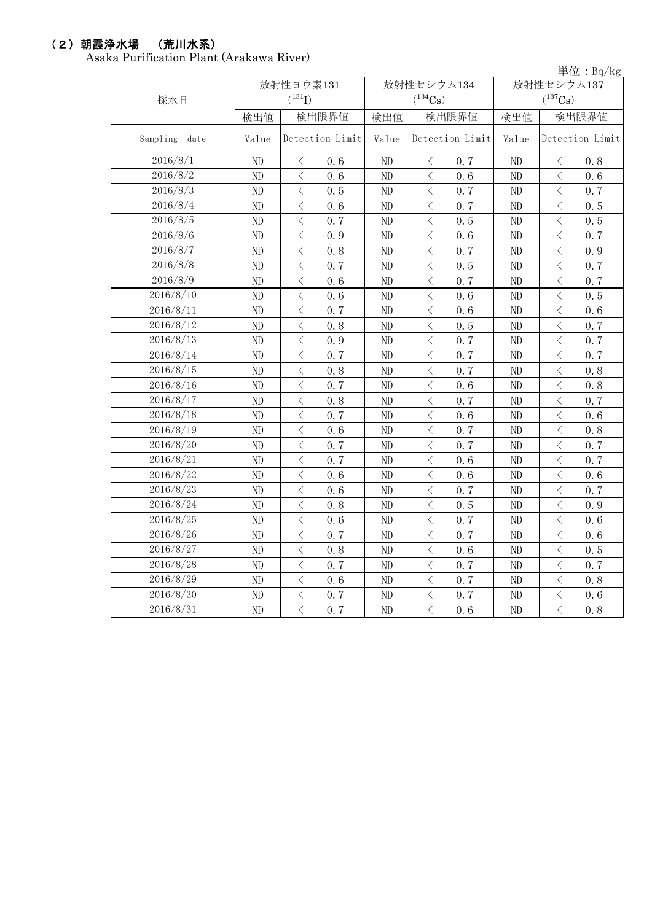### (2)朝霞浄水場 (荒川水系)

Asaka Purification Plant (Arakawa River)

単位:Bq/kg

| 採水日           | 放射性ヨウ素131<br>$(^{131}I)$ |                                                 |  | 放射性セシウム134<br>$(^{134}Cs)$ |                                          |                 | 放射性セシウム137<br>$(^{137}Cs)$ |                                                                                                                                                               |                 |
|---------------|--------------------------|-------------------------------------------------|--|----------------------------|------------------------------------------|-----------------|----------------------------|---------------------------------------------------------------------------------------------------------------------------------------------------------------|-----------------|
|               | 検出値                      | 検出限界値                                           |  | 検出値                        | 検出限界値                                    |                 | 検出値                        | 検出限界値                                                                                                                                                         |                 |
| Sampling date | Value                    | Detection Limit                                 |  | Value                      |                                          | Detection Limit | Value                      |                                                                                                                                                               | Detection Limit |
| 2016/8/1      | ND                       | 0.6<br>$\langle$                                |  | ND                         | $\lt$                                    | 0, 7            | ND                         | $\langle$                                                                                                                                                     | 0.8             |
| 2016/8/2      | ND                       | $\langle$<br>0, 6                               |  | ND                         | $\langle$                                | 0, 6            | ND                         | $\langle$                                                                                                                                                     | 0.6             |
| 2016/8/3      | ND                       | $\langle$<br>0.5                                |  | ND                         | $\langle$                                | 0.7             | ND                         | $\lt$                                                                                                                                                         | 0.7             |
| 2016/8/4      | ND                       | $\langle$<br>0.6                                |  | ND                         | $\overline{\left\langle \right\rangle }$ | 0.7             | ND                         | $\langle$                                                                                                                                                     | 0.5             |
| 2016/8/5      | ND                       | $\lt$<br>0.7                                    |  | ND                         | $\,$ $\,$ $\,$                           | 0.5             | ND                         | $\lt$                                                                                                                                                         | 0.5             |
| 2016/8/6      | ND                       | $\langle$<br>0.9                                |  | ND                         | $\langle$                                | 0.6             | ND                         | $\langle$                                                                                                                                                     | 0.7             |
| 2016/8/7      | ND                       | $\hspace{0.5cm}\big\langle$<br>0.8              |  | ND                         | $\, <\,$                                 | 0.7             | ND                         | $\lt$                                                                                                                                                         | 0.9             |
| 2016/8/8      | ND                       | $\lt$<br>0.7                                    |  | ND                         | $\, <\,$                                 | 0.5             | ND                         | $\, <\,$                                                                                                                                                      | 0.7             |
| 2016/8/9      | ND                       | $\lt$<br>0.6                                    |  | ND                         | $\langle$                                | 0.7             | ND                         | $\langle$                                                                                                                                                     | 0.7             |
| 2016/8/10     | ND                       | $\lt$<br>0.6                                    |  | ND                         | $\langle$                                | 0.6             | ND                         | $\lt$                                                                                                                                                         | 0.5             |
| 2016/8/11     | ND                       | $\langle$<br>0.7                                |  | ND                         | $\langle$                                | 0.6             | ND                         | $\langle$                                                                                                                                                     | 0.6             |
| 2016/8/12     | ND                       | $\langle$<br>0.8                                |  | ND                         | $\langle$                                | 0.5             | ND                         | $\langle$                                                                                                                                                     | 0.7             |
| 2016/8/13     | ND                       | $\lt$<br>0.9                                    |  | ND                         | $\lt$                                    | 0.7             | $\rm ND$                   | $\langle$                                                                                                                                                     | 0.7             |
| 2016/8/14     | ND                       | $\langle$<br>0.7                                |  | ND                         | $\lt$                                    | 0.7             | ND                         | $\langle$                                                                                                                                                     | 0.7             |
| 2016/8/15     | ND                       | $\langle$<br>0.8                                |  | ND                         | $\lt$                                    | 0.7             | ND                         | $\langle$                                                                                                                                                     | 0.8             |
| 2016/8/16     | ND                       | $\langle$<br>0.7                                |  | $\rm ND$                   | $\overline{\left\langle \right\rangle }$ | 0.6             | ND                         | $\langle$                                                                                                                                                     | 0.8             |
| 2016/8/17     | ND                       | $\langle$<br>0.8                                |  | ND                         | $\langle$                                | 0.7             | ND                         | $\langle$                                                                                                                                                     | 0.7             |
| 2016/8/18     | ND                       | $\overline{\left\langle \right\rangle }$<br>0.7 |  | ND                         | $\overline{\left\langle \right\rangle }$ | 0.6             | ND                         | $\overline{\left\langle \right. }% ,\left\langle \overline{\left\langle \right. }% ,\left\langle \overline{\left\langle \right\rangle }\right\rangle \right.$ | 0.6             |
| 2016/8/19     | ND                       | $\langle$<br>0, 6                               |  | ND                         | $\langle$                                | 0.7             | ND                         | $\langle$                                                                                                                                                     | 0.8             |
| 2016/8/20     | ND                       | $\langle$<br>0.7                                |  | ND                         | $\langle$                                | 0.7             | ND                         | $\lt$                                                                                                                                                         | 0.7             |
| 2016/8/21     | ND                       | $\langle$<br>0.7                                |  | ND                         | $\overline{\left\langle \right\rangle }$ | 0.6             | $\rm ND$                   | $\langle$                                                                                                                                                     | 0.7             |
| 2016/8/22     | ND                       | $\langle$<br>0.6                                |  | ND                         | $\overline{\left\langle \right\rangle }$ | 0.6             | ND                         | $\langle$                                                                                                                                                     | 0.6             |
| 2016/8/23     | ND                       | $\lt$<br>0.6                                    |  | ND                         | $\lt$                                    | 0.7             | ND                         | $\lt$                                                                                                                                                         | 0.7             |
| 2016/8/24     | ND                       | $\lt$<br>0.8                                    |  | ND                         | $\lt$                                    | 0.5             | ND                         | $\lt$                                                                                                                                                         | 0.9             |
| 2016/8/25     | ND                       | $\lt$<br>0.6                                    |  | ND                         | $\langle$                                | 0.7             | ND                         | $\lt$                                                                                                                                                         | 0.6             |
| 2016/8/26     | ND                       | $\lt$<br>0.7                                    |  | $\rm ND$                   | $\langle$                                | 0.7             | $\rm ND$                   | $\,$ $\,$ $\,$                                                                                                                                                | 0, 6            |
| 2016/8/27     | ND                       | $\langle$<br>0.8                                |  | ND                         | $\langle$                                | 0.6             | ND                         | $\langle$                                                                                                                                                     | 0.5             |
| 2016/8/28     | ND                       | $\langle$<br>0.7                                |  | ND                         | $\langle$                                | 0.7             | ND                         | $\langle$                                                                                                                                                     | 0.7             |
| 2016/8/29     | ND                       | $\langle$<br>0.6                                |  | ND                         | $\langle$                                | 0.7             | ND                         | $\langle$                                                                                                                                                     | 0.8             |
| 2016/8/30     | ND                       | $\, <\,$<br>0.7                                 |  | ND                         | $\, <\,$                                 | 0.7             | ND                         | $\langle$                                                                                                                                                     | 0.6             |
| 2016/8/31     | ND                       | $\langle$<br>0.7                                |  | $\rm ND$                   | $\langle$                                | 0.6             | $\rm ND$                   | $\overline{\left\langle \right\rangle }$                                                                                                                      | 0.8             |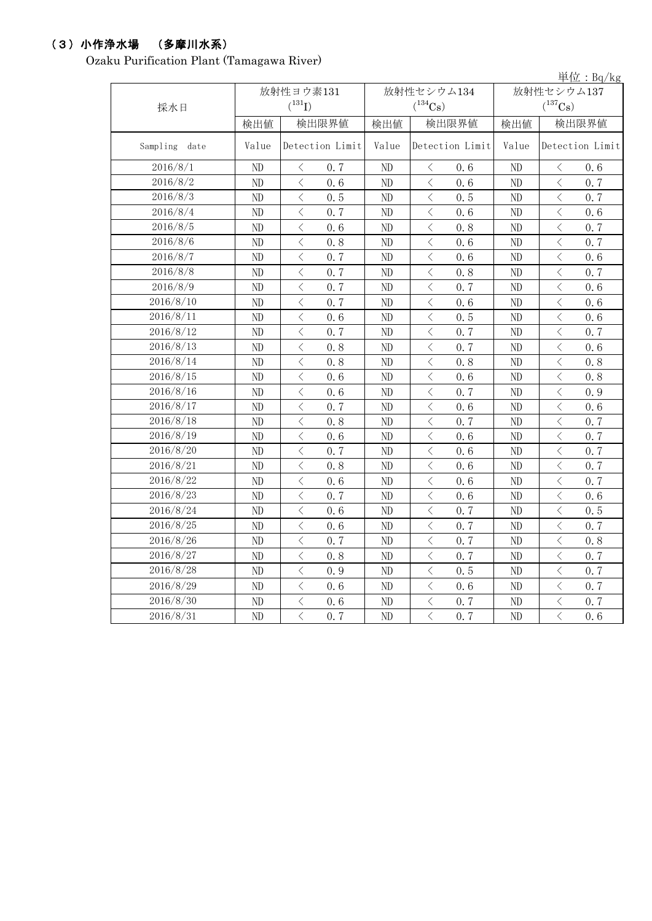# (3)小作浄水場 (多摩川水系)

Ozaku Purification Plant (Tamagawa River)

|               |           |                                          |                 |                |                                                                                                                                                               |                 |            |                                                                                                                                                               | 単位: Bq/kg       |  |
|---------------|-----------|------------------------------------------|-----------------|----------------|---------------------------------------------------------------------------------------------------------------------------------------------------------------|-----------------|------------|---------------------------------------------------------------------------------------------------------------------------------------------------------------|-----------------|--|
|               | 放射性ヨウ素131 |                                          |                 |                | 放射性セシウム134                                                                                                                                                    |                 | 放射性セシウム137 |                                                                                                                                                               |                 |  |
| 採水日           |           | $(^{131}I)$                              |                 |                | $(^{134}Cs)$                                                                                                                                                  |                 |            | $(^{137}Cs)$                                                                                                                                                  |                 |  |
|               | 検出値       |                                          | 検出限界値           | 検出値            |                                                                                                                                                               | 検出限界値           | 検出値        |                                                                                                                                                               | 検出限界値           |  |
| Sampling date | Value     |                                          | Detection Limit | Value          |                                                                                                                                                               | Detection Limit | Value      |                                                                                                                                                               | Detection Limit |  |
| 2016/8/1      | ND        | $\lt$                                    | 0.7             | ND             | $\lt$                                                                                                                                                         | 0.6             | ND         | $\lt$                                                                                                                                                         | 0.6             |  |
| 2016/8/2      | ND        | $\, <\,$                                 | 0.6             | $\rm ND$       | $\langle$                                                                                                                                                     | 0.6             | ND         | $\, \zeta \,$                                                                                                                                                 | 0.7             |  |
| 2016/8/3      | ND        | $\lt$                                    | 0.5             | ND             | $\langle$                                                                                                                                                     | 0.5             | ND         | $\langle$                                                                                                                                                     | 0.7             |  |
| 2016/8/4      | ND        | $\lt$                                    | 0.7             | ND             | $\lt$                                                                                                                                                         | 0.6             | ND         | $\lt$                                                                                                                                                         | 0.6             |  |
| 2016/8/5      | ND        | $\lt$                                    | 0.6             | ND             | $\lt$                                                                                                                                                         | 0.8             | ND         | $\lt$                                                                                                                                                         | 0.7             |  |
| 2016/8/6      | ND        | $\langle$                                | 0.8             | ND             | $\langle$                                                                                                                                                     | 0.6             | ND         | $\langle$                                                                                                                                                     | 0.7             |  |
| 2016/8/7      | ND        | $\langle$                                | 0.7             | ND             | $\langle$                                                                                                                                                     | 0.6             | ND         | $\langle$                                                                                                                                                     | 0.6             |  |
| 2016/8/8      | ND        | $\lt$                                    | 0.7             | ND             | $\langle$                                                                                                                                                     | 0.8             | ND         | $\lt$                                                                                                                                                         | 0.7             |  |
| 2016/8/9      | ND        | $\langle$                                | 0.7             | N <sub>D</sub> | $\, \zeta \,$                                                                                                                                                 | 0.7             | ND         | $\, \zeta \,$                                                                                                                                                 | 0.6             |  |
| 2016/8/10     | ND        | $\langle$                                | 0.7             | ND             | $\langle$                                                                                                                                                     | 0.6             | ND         | $\langle$                                                                                                                                                     | 0.6             |  |
| 2016/8/11     | ND        | $\langle$                                | 0.6             | ND             | $\lt$                                                                                                                                                         | 0.5             | ND         | $\,$ $\,$ $\,$                                                                                                                                                | 0.6             |  |
| 2016/8/12     | ND        | $\langle$                                | 0.7             | ND             | $\langle$                                                                                                                                                     | 0.7             | ND         | $\,$ $\,$ $\,$                                                                                                                                                | 0.7             |  |
| 2016/8/13     | ND        | $\langle$                                | 0.8             | ND             | $\langle$                                                                                                                                                     | 0.7             | ND         | $\langle$                                                                                                                                                     | 0.6             |  |
| 2016/8/14     | ND        | $\langle$                                | 0.8             | ND             | $\langle$                                                                                                                                                     | 0.8             | ND         | $\lt$                                                                                                                                                         | 0.8             |  |
| 2016/8/15     | ND        | $\langle$                                | 0.6             | ND             | $\lt$                                                                                                                                                         | 0.6             | ND         | $\,$ $\,$ $\,$                                                                                                                                                | 0.8             |  |
| 2016/8/16     | ND        | $\langle$                                | 0.6             | ND             | $\langle$                                                                                                                                                     | 0.7             | ND         | $\langle$                                                                                                                                                     | 0.9             |  |
| 2016/8/17     | ND        | $\overline{\left\langle \right\rangle }$ | 0.7             | ND             | $\lt$                                                                                                                                                         | 0.6             | ND         | $\overline{\left\langle \right\rangle }$                                                                                                                      | 0.6             |  |
| 2016/8/18     | ND        | $\overline{\left\langle \right\rangle }$ | 0.8             | ND             | $\overline{\left\langle \right\rangle }$                                                                                                                      | 0.7             | ND         | $\langle$                                                                                                                                                     | 0.7             |  |
| 2016/8/19     | ND        | $\overline{\left\langle \right\rangle }$ | 0.6             | ND             | $\overline{\left\langle \right\rangle }$                                                                                                                      | 0.6             | ND         | $\overline{\left\langle \right\rangle }$                                                                                                                      | 0.7             |  |
| 2016/8/20     | ND        | $\,$ $\,$ $\,$                           | 0.7             | ND             | $\langle$                                                                                                                                                     | 0.6             | ND         | $\,$ $\,$ $\,$                                                                                                                                                | 0.7             |  |
| 2016/8/21     | ND        | $\lt$                                    | 0.8             | ND             | $\lt$                                                                                                                                                         | 0.6             | ND         | $\langle$                                                                                                                                                     | 0.7             |  |
| 2016/8/22     | ND        | $\overline{\left\langle \right\rangle }$ | 0, 6            | ND             | $\langle$                                                                                                                                                     | 0.6             | ND         | $\langle$                                                                                                                                                     | 0.7             |  |
| 2016/8/23     | ND        | $\langle$                                | 0.7             | ND             | $\hspace{0.5cm}\big\langle$                                                                                                                                   | 0.6             | ND         | $\hspace{0.5cm}\big\langle$                                                                                                                                   | 0.6             |  |
| 2016/8/24     | ND        | $\langle$                                | 0.6             | ND             | $\langle$                                                                                                                                                     | 0.7             | ND         | $\,$ $\,$ $\,$                                                                                                                                                | 0.5             |  |
| 2016/8/25     | ND        | $\overline{\left\langle \right\rangle }$ | 0.6             | ND             | $\overline{\left\langle \right. }% ,\left\langle \overline{\left\langle \right. }% ,\left\langle \overline{\left\langle \right\rangle }\right\rangle \right.$ | 0.7             | ND         | $\overline{\left\langle \right. }% ,\left\langle \overline{\left\langle \right. }% ,\left\langle \overline{\left\langle \right\rangle }\right\rangle \right.$ | 0.7             |  |
| 2016/8/26     | ND        | $\overline{\left\langle \right\rangle }$ | 0.7             | ND             | $\overline{\left\langle \right\rangle }$                                                                                                                      | 0.7             | ND         | $\overline{\left\langle \right\rangle }$                                                                                                                      | 0.8             |  |
| 2016/8/27     | ND        | $\lt$                                    | 0.8             | ND             | $\langle$                                                                                                                                                     | 0.7             | ND         | $\langle$                                                                                                                                                     | 0.7             |  |
| 2016/8/28     | ND        | $\overline{\left\langle \right\rangle }$ | 0.9             | ND             | $\overline{\left\langle \right\rangle }$                                                                                                                      | 0.5             | ND         | $\overline{\left\langle \right\rangle }$                                                                                                                      | 0.7             |  |
| 2016/8/29     | ND        | $\, <\,$                                 | 0.6             | ND             | $\langle$                                                                                                                                                     | 0.6             | ND         | $\, <\,$                                                                                                                                                      | 0.7             |  |
| 2016/8/30     | ND        | $\langle$                                | 0.6             | ND             | $\,$ $\,$ $\,$                                                                                                                                                | 0.7             | ND         | $\, \zeta \,$                                                                                                                                                 | 0.7             |  |
| 2016/8/31     | ND        | $\langle$                                | 0.7             | ND             | $\langle$                                                                                                                                                     | 0.7             | ND         | $\overline{\left\langle \right\rangle }$                                                                                                                      | 0.6             |  |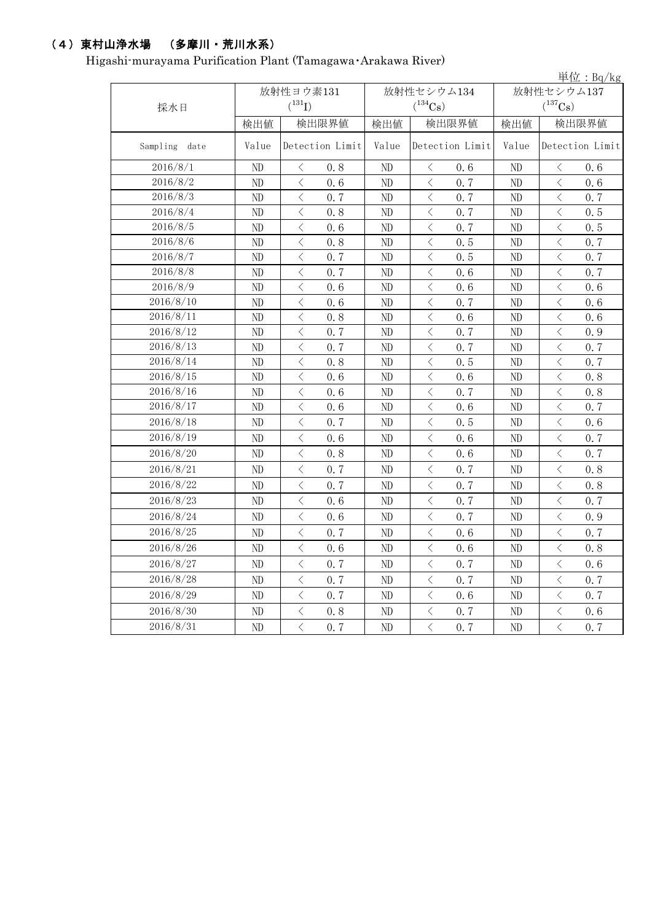## (4)東村山浄水場 (多摩川・荒川水系)

Higashi-murayama Purification Plant (Tamagawa・Arakawa River)

|               |       |                                                  |       |                           |            | 単位: $Bq/kg$                                     |  |
|---------------|-------|--------------------------------------------------|-------|---------------------------|------------|-------------------------------------------------|--|
|               |       | 放射性ヨウ素131                                        |       | 放射性セシウム134                | 放射性セシウム137 |                                                 |  |
| 採水日           |       | $(^{131}I)$                                      |       | $(^{134}Cs)$              |            | $(^{137}\mathrm{Cs})$                           |  |
|               | 検出値   | 検出限界値                                            | 検出値   | 検出限界値                     | 検出値        | 検出限界値                                           |  |
| Sampling date | Value | Detection Limit                                  | Value | Detection Limit           | Value      | Detection Limit                                 |  |
| 2016/8/1      | ND    | $\lt$<br>0.8                                     | ND    | $\lt$<br>0.6              | ND         | $\lt$<br>0.6                                    |  |
| 2016/8/2      | ND    | $\lt$<br>0.6                                     | ND    | $\langle$<br>0.7          | ND         | $\langle$<br>0, 6                               |  |
| 2016/8/3      | ND    | $\,$ $\,$ $\,$<br>0.7                            | ND    | $\,$ $\,$ $\,$<br>0.7     | ND         | 0.7<br>$\lt$                                    |  |
| 2016/8/4      | ND    | $\lt$<br>0.8                                     | ND    | $\lt$<br>0.7              | ND         | $\lt$<br>0.5                                    |  |
| 2016/8/5      | ND    | $\langle$<br>0.6                                 | ND    | $\langle$<br>0.7          | $\rm ND$   | $\langle$<br>0.5                                |  |
| 2016/8/6      | ND    | $\lt$<br>0.8                                     | ND    | $\lt$<br>0.5              | ND         | $\lt$<br>0.7                                    |  |
| 2016/8/7      | ND    | $\,$ $\,$ $\,$<br>0.7                            | ND    | $\,$ $\,$ $\,$<br>0.5     | ND         | $\lt$<br>0.7                                    |  |
| 2016/8/8      | ND    | $\lt$<br>0, 7                                    | ND    | $\langle$<br>0.6          | ND         | 0.7<br>$\langle$                                |  |
| 2016/8/9      | ND    | $\lt$<br>0.6                                     | ND    | $\lt$<br>0.6              | ND         | $\lt$<br>0, 6                                   |  |
| 2016/8/10     | ND    | $\lt$<br>0.6                                     | ND    | $\hspace{0.5cm} <$<br>0.7 | ND         | $\lt$<br>0.6                                    |  |
| 2016/8/11     | ND    | $\langle$<br>0.8                                 | ND    | $\langle$<br>0.6          | ND         | $\langle$<br>0.6                                |  |
| 2016/8/12     | ND    | $\lt$<br>0.7                                     | ND    | $\lt$<br>0.7              | ND         | $\lt$<br>0.9                                    |  |
| 2016/8/13     | ND    | $\lt$<br>0.7                                     | ND    | $\hspace{0.5cm} <$<br>0.7 | ND         | 0.7<br>$\lt$                                    |  |
| 2016/8/14     | ND    | $\langle$<br>0.8                                 | ND    | $\lt$<br>0.5              | ND         | $\langle$<br>0.7                                |  |
| 2016/8/15     | ND    | $\lt$<br>0.6                                     | ND    | $\langle$<br>0.6          | ND         | $\lt$<br>0.8                                    |  |
| 2016/8/16     | ND    | $\lt$<br>0.6                                     | ND    | $\lt$<br>0.7              | ND         | 0.8<br>ぐ                                        |  |
| 2016/8/17     | ND    | $\lt$<br>0.6                                     | ND    | $\lt$<br>0.6              | $\rm ND$   | $\langle$<br>0.7                                |  |
| 2016/8/18     | ND    | $\langle$<br>0.7                                 | ND    | $\langle$<br>0.5          | ND         | $\langle$<br>0.6                                |  |
| 2016/8/19     | ND    | $\langle$<br>0.6                                 | ND    | $\lt$<br>0.6              | ND         | $\langle$<br>0.7                                |  |
| 2016/8/20     | ND    | $\langle$<br>0.8                                 | ND    | $\,$ $\,$ $\,$<br>0.6     | ND         | $\langle$<br>0.7                                |  |
| 2016/8/21     | ND    | $\hspace{0.5cm}\big\langle$<br>0.7               | ND    | $\lt$<br>0.7              | ND         | $\langle$<br>0.8                                |  |
| 2016/8/22     | ND    | $\langle$<br>0.7                                 | ND    | $\,$ $\,$ $\,$<br>0.7     | ND         | $\,$ $\,$ $\,$<br>0.8                           |  |
| 2016/8/23     | ND    | $\,$ $\,$ $\,$<br>0.6                            | ND    | $\lt$<br>0.7              | ND         | $\,$ $\,$ $\,$<br>0.7                           |  |
| 2016/8/24     | ND    | $\lt$<br>0.6                                     | ND    | $\langle$<br>0.7          | ND         | $\langle$<br>0.9                                |  |
| 2016/8/25     | ND    | $\lt$<br>0.7                                     | ND    | $\langle$<br>0.6          | ND         | $\langle$<br>0.7                                |  |
| 2016/8/26     | ND    | $\lt$<br>0.6                                     | ND    | $\langle$<br>0.6          | ND         | 0.8<br>ぐ                                        |  |
| 2016/8/27     | ND    | $\lt$<br>0.7                                     | ND    | $\lt$<br>0, 7             | ND         | $\lt$<br>0.6                                    |  |
| 2016/8/28     | ND    | $\lt$<br>0.7                                     | ND    | $\langle$<br>0, 7         | ND         | 0, 7<br>$\langle$                               |  |
| 2016/8/29     | ND    | $\lt$<br>0.7                                     | ND    | $\langle$<br>0.6          | ND         | $\lt$<br>0.7                                    |  |
| 2016/8/30     | ND    | $\lt$<br>0.8                                     | ND    | $\lt$<br>0.7              | ND         | $\lt$<br>0.6                                    |  |
| 2016/8/31     | ND    | $\overline{\left\langle \right\rangle }$<br>0, 7 | ND    | $\,$ $\,$ $\,$<br>0.7     | ND         | $\overline{\left\langle \right\rangle }$<br>0.7 |  |
|               |       |                                                  |       |                           |            |                                                 |  |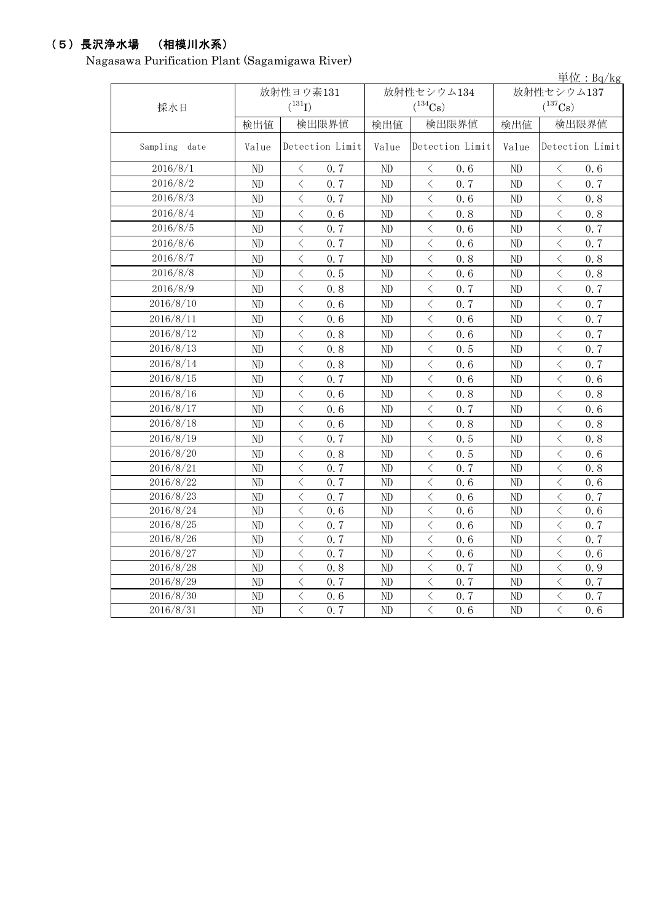# (5)長沢浄水場 (相模川水系)

Nagasawa Purification Plant (Sagamigawa River)

|               |       |                                                                                                                                                                                                                                                                                                                                                                                                                                                                   |                 |              |                                                                                       |      |                       |                                                                                                                                                                                                                                                                                                                                                                                                                                                                   | 早位: $Bq/kg$ |  |
|---------------|-------|-------------------------------------------------------------------------------------------------------------------------------------------------------------------------------------------------------------------------------------------------------------------------------------------------------------------------------------------------------------------------------------------------------------------------------------------------------------------|-----------------|--------------|---------------------------------------------------------------------------------------|------|-----------------------|-------------------------------------------------------------------------------------------------------------------------------------------------------------------------------------------------------------------------------------------------------------------------------------------------------------------------------------------------------------------------------------------------------------------------------------------------------------------|-------------|--|
|               |       | 放射性ヨウ素131                                                                                                                                                                                                                                                                                                                                                                                                                                                         |                 |              | 放射性セシウム134                                                                            |      | 放射性セシウム137            |                                                                                                                                                                                                                                                                                                                                                                                                                                                                   |             |  |
| 採水日           |       | $({}^{131}\mathrm{I})$                                                                                                                                                                                                                                                                                                                                                                                                                                            |                 | $(^{134}Cs)$ |                                                                                       |      | $(^{137}\mathrm{Cs})$ |                                                                                                                                                                                                                                                                                                                                                                                                                                                                   |             |  |
|               | 検出値   | 検出限界値                                                                                                                                                                                                                                                                                                                                                                                                                                                             |                 | 検出値<br>検出限界値 |                                                                                       | 検出値  | 検出限界値                 |                                                                                                                                                                                                                                                                                                                                                                                                                                                                   |             |  |
| Sampling date | Value |                                                                                                                                                                                                                                                                                                                                                                                                                                                                   | Detection Limit |              | Detection Limit                                                                       |      | Value                 | Detection Limit                                                                                                                                                                                                                                                                                                                                                                                                                                                   |             |  |
| 2016/8/1      | ND    | $\lt$                                                                                                                                                                                                                                                                                                                                                                                                                                                             | 0.7             | ND           | $\langle$                                                                             | 0.6  | ND                    | $\langle$                                                                                                                                                                                                                                                                                                                                                                                                                                                         | 0.6         |  |
| 2016/8/2      | ND    | $\overline{\left\langle \right\rangle }$                                                                                                                                                                                                                                                                                                                                                                                                                          | 0.7             | ND           | $\langle$                                                                             | 0, 7 | ND                    | $\overline{\left\langle \right\rangle }$                                                                                                                                                                                                                                                                                                                                                                                                                          | 0.7         |  |
| 2016/8/3      | ND    | $\langle$                                                                                                                                                                                                                                                                                                                                                                                                                                                         | 0.7             | ND           | $\langle$                                                                             | 0.6  | ND                    | $\langle$                                                                                                                                                                                                                                                                                                                                                                                                                                                         | 0.8         |  |
| 2016/8/4      | ND    | $\lt$                                                                                                                                                                                                                                                                                                                                                                                                                                                             | 0.6             | ND           | $\langle$                                                                             | 0.8  | ND                    | $\langle$                                                                                                                                                                                                                                                                                                                                                                                                                                                         | 0.8         |  |
| 2016/8/5      | ND    | $\langle$                                                                                                                                                                                                                                                                                                                                                                                                                                                         | 0.7             | ND           | $\langle$                                                                             | 0.6  | ND                    | $\lt$                                                                                                                                                                                                                                                                                                                                                                                                                                                             | 0.7         |  |
| 2016/8/6      | ND    | $\langle$                                                                                                                                                                                                                                                                                                                                                                                                                                                         | 0.7             | ND           | $\langle$                                                                             | 0.6  | ND                    | $\langle$                                                                                                                                                                                                                                                                                                                                                                                                                                                         | 0.7         |  |
| 2016/8/7      | ND    | $\hspace{0.5cm}\mathopen{\begin{array}{c} \mathopen{\begin{array}{c} \mathopen{\hskip0.15cm}\mathbb{\begin{array}{c} \mathopen{\hskip0.15cm}\mathbb{\hskip0.15cm}\mathbb{\hskip0.15cm}\mathbb{\hskip0.15cm}\mathbb{\hskip0.15cm}\mathbb{\hskip0.15cm}\mathbb{\hskip0.15cm}\mathbb{\hskip0.15cm}\mathbb{\hskip0.15cm}\mathbb{\hskip0.15cm}\mathbb{\hskip0.15cm}\mathbb{\hskip0.15cm}\mathbb{\hskip0.15cm}\mathbb{\hskip0.15cm}\mathbb{\hskip0.15cm}\mathbb{\hskip$ | 0.7             | ND           | $\hspace{0.5cm}\big\langle$                                                           | 0.8  | ND                    | $\lt$                                                                                                                                                                                                                                                                                                                                                                                                                                                             | 0.8         |  |
| 2016/8/8      | ND    | $\lt$                                                                                                                                                                                                                                                                                                                                                                                                                                                             | 0.5             | ND           | $\langle$                                                                             | 0.6  | ND                    | $\lt$                                                                                                                                                                                                                                                                                                                                                                                                                                                             | 0.8         |  |
| 2016/8/9      | ND    | $\langle$                                                                                                                                                                                                                                                                                                                                                                                                                                                         | 0.8             | ND           | $\lt$                                                                                 | 0, 7 | ND                    | $\lt$                                                                                                                                                                                                                                                                                                                                                                                                                                                             | 0.7         |  |
| 2016/8/10     | ND    | $\langle$                                                                                                                                                                                                                                                                                                                                                                                                                                                         | 0.6             | ND           | $\lt$                                                                                 | 0.7  | ND                    | $\langle$                                                                                                                                                                                                                                                                                                                                                                                                                                                         | 0.7         |  |
| 2016/8/11     | ND    | $\lt$                                                                                                                                                                                                                                                                                                                                                                                                                                                             | 0.6             | ND           | $\lt$                                                                                 | 0.6  | ND                    | $\lt$                                                                                                                                                                                                                                                                                                                                                                                                                                                             | 0.7         |  |
| 2016/8/12     | ND    | $\langle$                                                                                                                                                                                                                                                                                                                                                                                                                                                         | 0.8             | ND           | $\langle$                                                                             | 0, 6 | ND                    | $\overline{\left\langle \right\rangle }$                                                                                                                                                                                                                                                                                                                                                                                                                          | 0, 7        |  |
| 2016/8/13     | ND    | $\lt$                                                                                                                                                                                                                                                                                                                                                                                                                                                             | 0.8             | ND           | $\lt$                                                                                 | 0.5  | ND                    | $\lt$                                                                                                                                                                                                                                                                                                                                                                                                                                                             | 0.7         |  |
| 2016/8/14     | ND    | $\,$ $\,$ $\,$                                                                                                                                                                                                                                                                                                                                                                                                                                                    | 0.8             | ND           | $\lt$                                                                                 | 0.6  | ND                    | $\langle$                                                                                                                                                                                                                                                                                                                                                                                                                                                         | 0, 7        |  |
| 2016/8/15     | ND    | $\langle$                                                                                                                                                                                                                                                                                                                                                                                                                                                         | 0.7             | ND           | $\langle$                                                                             | 0.6  | ND                    | $\langle$                                                                                                                                                                                                                                                                                                                                                                                                                                                         | 0, 6        |  |
| 2016/8/16     | ND    | $\langle$                                                                                                                                                                                                                                                                                                                                                                                                                                                         | 0.6             | ND           | $\langle$                                                                             | 0.8  | ND                    | $\langle$                                                                                                                                                                                                                                                                                                                                                                                                                                                         | 0.8         |  |
| 2016/8/17     | ND    | $\langle$                                                                                                                                                                                                                                                                                                                                                                                                                                                         | 0.6             | ND           | $\lt$                                                                                 | 0.7  | ND                    | $\langle$                                                                                                                                                                                                                                                                                                                                                                                                                                                         | 0.6         |  |
| 2016/8/18     | ND    | $\hspace{0.5cm}\mathopen{\begin{array}{c} \mathopen{\begin{array}{c} \mathopen{\hskip0.15cm}\mathbb{\begin{array}{c} \mathopen{\hskip0.15cm}\mathbb{\hskip0.15cm}\mathbb{\hskip0.15cm}\mathbb{\hskip0.15cm}\mathbb{\hskip0.15cm}\mathbb{\hskip0.15cm}\mathbb{\hskip0.15cm}\mathbb{\hskip0.15cm}\mathbb{\hskip0.15cm}\mathbb{\hskip0.15cm}\mathbb{\hskip0.15cm}\mathbb{\hskip0.15cm}\mathbb{\hskip0.15cm}\mathbb{\hskip0.15cm}\mathbb{\hskip0.15cm}\mathbb{\hskip$ | 0.6             | ND           | $\lt$                                                                                 | 0.8  | ND                    | ぐ                                                                                                                                                                                                                                                                                                                                                                                                                                                                 | 0.8         |  |
| 2016/8/19     | ND    | $\lt$                                                                                                                                                                                                                                                                                                                                                                                                                                                             | 0, 7            | ND           | $\lt$                                                                                 | 0.5  | ND                    | $\hspace{0.5cm}\mathopen{\begin{array}{c} \mathopen{\begin{array}{c} \mathopen{\hskip0.15cm}\mathbb{\begin{array}{c} \mathopen{\hskip0.15cm}\mathbb{\hskip0.15cm}\mathbb{\hskip0.15cm}\mathbb{\hskip0.15cm}\mathbb{\hskip0.15cm}\mathbb{\hskip0.15cm}\mathbb{\hskip0.15cm}\mathbb{\hskip0.15cm}\mathbb{\hskip0.15cm}\mathbb{\hskip0.15cm}\mathbb{\hskip0.15cm}\mathbb{\hskip0.15cm}\mathbb{\hskip0.15cm}\mathbb{\hskip0.15cm}\mathbb{\hskip0.15cm}\mathbb{\hskip$ | 0.8         |  |
| 2016/8/20     | ND    | $\lt$                                                                                                                                                                                                                                                                                                                                                                                                                                                             | 0.8             | ND           | $\hspace{0.1mm}\mathopen{\begin{array}{c}\mathopen{\frown}\end{array}}\hspace{0.1mm}$ | 0.5  | ND                    | $\lt$                                                                                                                                                                                                                                                                                                                                                                                                                                                             | 0.6         |  |
| 2016/8/21     | ND    | $\langle$                                                                                                                                                                                                                                                                                                                                                                                                                                                         | 0, 7            | ND           | $\langle$                                                                             | 0.7  | ND                    | $\langle$                                                                                                                                                                                                                                                                                                                                                                                                                                                         | 0.8         |  |
| 2016/8/22     | ND    | $\lt$                                                                                                                                                                                                                                                                                                                                                                                                                                                             | 0.7             | ND           | $\, < \,$                                                                             | 0.6  | ND                    | $\lt$                                                                                                                                                                                                                                                                                                                                                                                                                                                             | 0.6         |  |
| 2016/8/23     | ND    | $\lt$                                                                                                                                                                                                                                                                                                                                                                                                                                                             | 0.7             | ND           | $\hspace{0.5cm}\big\langle$                                                           | 0.6  | ND                    | $\langle$                                                                                                                                                                                                                                                                                                                                                                                                                                                         | 0.7         |  |
| 2016/8/24     | ND    | $\langle$                                                                                                                                                                                                                                                                                                                                                                                                                                                         | 0.6             | ND           | $\lt$                                                                                 | 0.6  | ND                    | $\langle$                                                                                                                                                                                                                                                                                                                                                                                                                                                         | 0.6         |  |
| 2016/8/25     | ND    | $\langle$                                                                                                                                                                                                                                                                                                                                                                                                                                                         | 0.7             | ND           | $\lt$                                                                                 | 0.6  | ND                    | $\lt$                                                                                                                                                                                                                                                                                                                                                                                                                                                             | 0.7         |  |
| 2016/8/26     | ND    | $\lt$                                                                                                                                                                                                                                                                                                                                                                                                                                                             | 0.7             | ND           | $\langle$                                                                             | 0.6  | ND                    | $\lt$                                                                                                                                                                                                                                                                                                                                                                                                                                                             | 0.7         |  |
| 2016/8/27     | ND    | $\langle$                                                                                                                                                                                                                                                                                                                                                                                                                                                         | 0.7             | ND           | $\langle$                                                                             | 0.6  | ND                    | $\hspace{0.5cm}\mathopen{\begin{array}{c} \mathopen{\begin{array}{c} \mathopen{\hskip0.15cm}\mathbb{\begin{array}{c} \mathopen{\hskip0.15cm}\mathbb{\hskip0.15cm}\mathbb{\hskip0.15cm}\mathbb{\hskip0.15cm}\mathbb{\hskip0.15cm}\mathbb{\hskip0.15cm}\mathbb{\hskip0.15cm}\mathbb{\hskip0.15cm}\mathbb{\hskip0.15cm}\mathbb{\hskip0.15cm}\mathbb{\hskip0.15cm}\mathbb{\hskip0.15cm}\mathbb{\hskip0.15cm}\mathbb{\hskip0.15cm}\mathbb{\hskip0.15cm}\mathbb{\hskip$ | 0.6         |  |
| 2016/8/28     | ND    | $\langle$                                                                                                                                                                                                                                                                                                                                                                                                                                                         | 0.8             | ND           | $\langle$                                                                             | 0.7  | ND                    | $\hspace{0.5cm}\mathopen{\begin{array}{c} \mathopen{\begin{array}{c} \mathopen{\hskip0.15cm}\mathbb{\begin{array}{c} \mathopen{\hskip0.15cm}\mathbb{\hskip0.15cm}\mathbb{\hskip0.15cm}\mathbb{\hskip0.15cm}\mathbb{\hskip0.15cm}\mathbb{\hskip0.15cm}\mathbb{\hskip0.15cm}\mathbb{\hskip0.15cm}\mathbb{\hskip0.15cm}\mathbb{\hskip0.15cm}\mathbb{\hskip0.15cm}\mathbb{\hskip0.15cm}\mathbb{\hskip0.15cm}\mathbb{\hskip0.15cm}\mathbb{\hskip0.15cm}\mathbb{\hskip$ | 0.9         |  |
| 2016/8/29     | ND    | $\lt$                                                                                                                                                                                                                                                                                                                                                                                                                                                             | 0.7             | ND           | $\lt$                                                                                 | 0.7  | ND                    | $\lt$                                                                                                                                                                                                                                                                                                                                                                                                                                                             | 0.7         |  |
| 2016/8/30     | ND    | $\hspace{0.5cm}\big\langle$                                                                                                                                                                                                                                                                                                                                                                                                                                       | 0.6             | ND           | $\,$ $\,$ $\,$                                                                        | 0.7  | ND                    | $\, <\,$                                                                                                                                                                                                                                                                                                                                                                                                                                                          | 0.7         |  |
| 2016/8/31     | ND    | $\overline{\langle}$                                                                                                                                                                                                                                                                                                                                                                                                                                              | 0.7             | ND           | $\overline{\langle}$                                                                  | 0.6  | ND                    | $\langle$                                                                                                                                                                                                                                                                                                                                                                                                                                                         | 0, 6        |  |

単位:Bq/kg